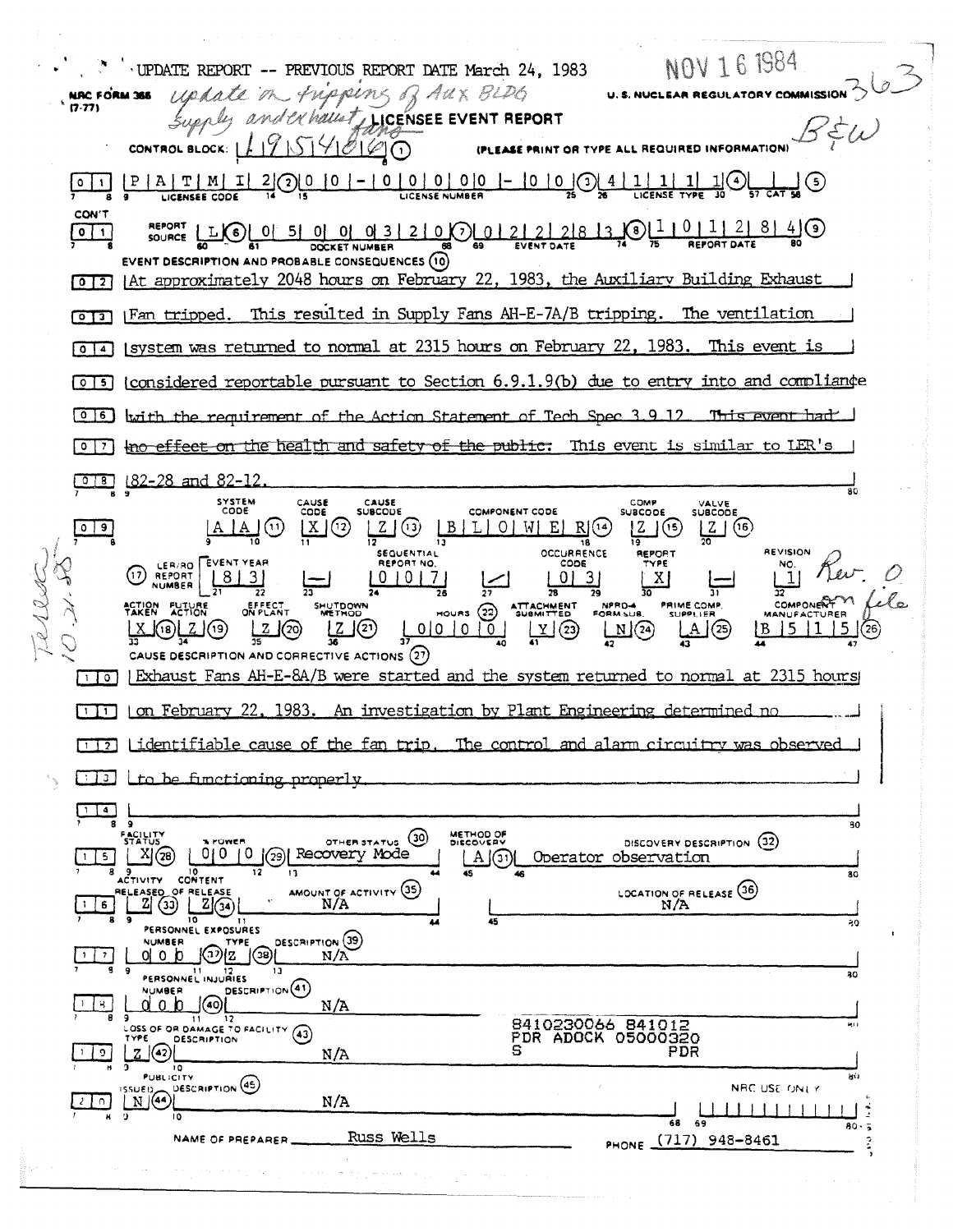NOV 16 1984 UPDATE REPORT -- PREVIOUS REPORT DATE March 24, 1983 U.S. NUCLEAR REGULATORY COMMISSION update on - Fripping of Aux BLDG NRC FORM 355  $(7.77)$ and exhaust, LICENSEE EVENT REPORT  $B \dot{\xi} \omega$ 1954860 CONTROL BLOCK: | (PLEASE PRINT OR TYPE ALL REQUIRED IN  $-1000000-000-0$  $\bigcirc$  $[0]1] [P]A[T]M]$  $|I|$  $2|$  $\mathbf 0$  $\frac{1}{2}$   $\frac{1}{2}$   $\frac{1}{2}$   $\frac{1}{2}$   $\frac{1}{2}$   $\frac{1}{2}$  $|0|$ **LICENSEE CODE** CON'T **REPORT LLOLOL 51 01 01 01 31 21 01 01 21 21 21 8 13 0 1 1 0 1 1 21 8 1 4 0**  $\boxed{\circ}$ **DOCKET NUMBER** EVENT DESCRIPTION AND PROBABLE CONSEQUENCES (10) [0] 2] [At approximately 2048 hours on February 22, 1983, the Auxiliary Building Exhaust This resulted in Supply Fans AH-E-7A/B tripping. [Fan tripped. The ventilation  $\sqrt{2}$ [system was returned to normal at 2315 hours on February 22, 1983. This event is  $\sqrt{2}$  $[0]$  [considered reportable pursuant to Section 6.9.1.9(b) due to entry into and compliance [0][6] with the requirement of the Action Statement of Tech Spec 3.9.12 This event had o 7 | the effect on the health and safety of the public. This event is similar to LER's <u>**COLE**</u> 182-28 and 82-12 SYSTEM<br>CODE CAUSE<br>SUBCODE CAUSE<br>CODE COMP VALVE<br>SUBCODE COMPONENT CODE **SUBCODE**  $2(3)$  $20(5)$  $|A|A|$  $\lfloor x \rfloor$ (12)  $019$  $(11)$  $B/L$  O W E R(14)  $Z(6)$ REVISION **SEQUENTIAL OCCURRENCE** REPORT LER/RO FEVENT YEAR REPORT NO.  $CODE$ (17) REPORT  $|8|3|$  $\tilde{1}$ 1010171  $013$  $\mathbf{x}$ 亓 29 COMPONERT EFFECT<br>ON PLANT SHUTDOWN ATTACHMENT<br>SUBMITTED NPRO-4 PRIME COMP. ACTION FUTURE  $_{\text{hours}}$   $(22)$ **AANUFACTURER**  $12(2)$  $\frac{N}{42}$  $\sqrt{(2)}$  $0|0|0|0|$ J(19)  $\underline{Y}$   $(23)$  $\Delta$  (25)  $(26)$ ΙB. CAUSE DESCRIPTION AND CORRECTIVE ACTIONS (27) | Exhaust Fans AH-E-8A/B were started and the system returned to normal at 2315 hours  $\Box$ Tol  $[1]$  on February 22, 1983. An investigation by Plant Engineering determined no [17] Lidentifiable cause of the fan trip, The control and alarm circuitry was observed  $\boxed{13}$   $\boxed{10}$  be functioning properly  $\Box$   $\Box$ - 5 R 30 **FACILITY**<br>STATUS METHOD OF OTHER STATUS (30) DISCOVERY DESCRIPTION (32) POWER 0|0 |0 | 29| Recovery Mode  $A(3)$  $1\,$  5 Operator observation ACTIVITY CONTENT  $\overline{11}$  $80$ AMOUNT OF ACTIVITY (35) LOCATION OF RELEASE (36) RELEASED OF RELEASE  $16$  $N/A$  $\overline{10}$ 50 PERSONNEL EXPOSURES DESCRIPTION (39) NUMBER **TYPE**  $\mathbb{C}^{2}$  $|$ (38)  $0<sub>1</sub>$  o  $0<sub>2</sub>$  $\left| \frac{1}{2} \right|$  $N/A$ 21 12<br>PERSONNEL INJURIES 30 DESCRIPTION (41) NUMBER  $Q \circ b$  (40)  $\frac{1}{2}$   $\left\{ 8 \right\}$  $N/A$ SOSS OF OR DAMAGE TO FACILITY (43) 8410230066 841012<br>PDR ADOCK 05000320 **DESCRIPTION**  $\mathbb{Z}$  (42)  $\sqrt{9}$ PDR  $N/A$  $\overline{10}$ **PUBLICITY** DESCRIPTION (45) **ISSUED** NRC USE ONLY  $\frac{2}{2}$  0  $N/A$  $11111$  $\frac{1}{69}$ ĩõ <u>តីន</u>  $\overline{1}$ Russ Wells PHONE (717) 948-8461 NAME OF PREPARER\_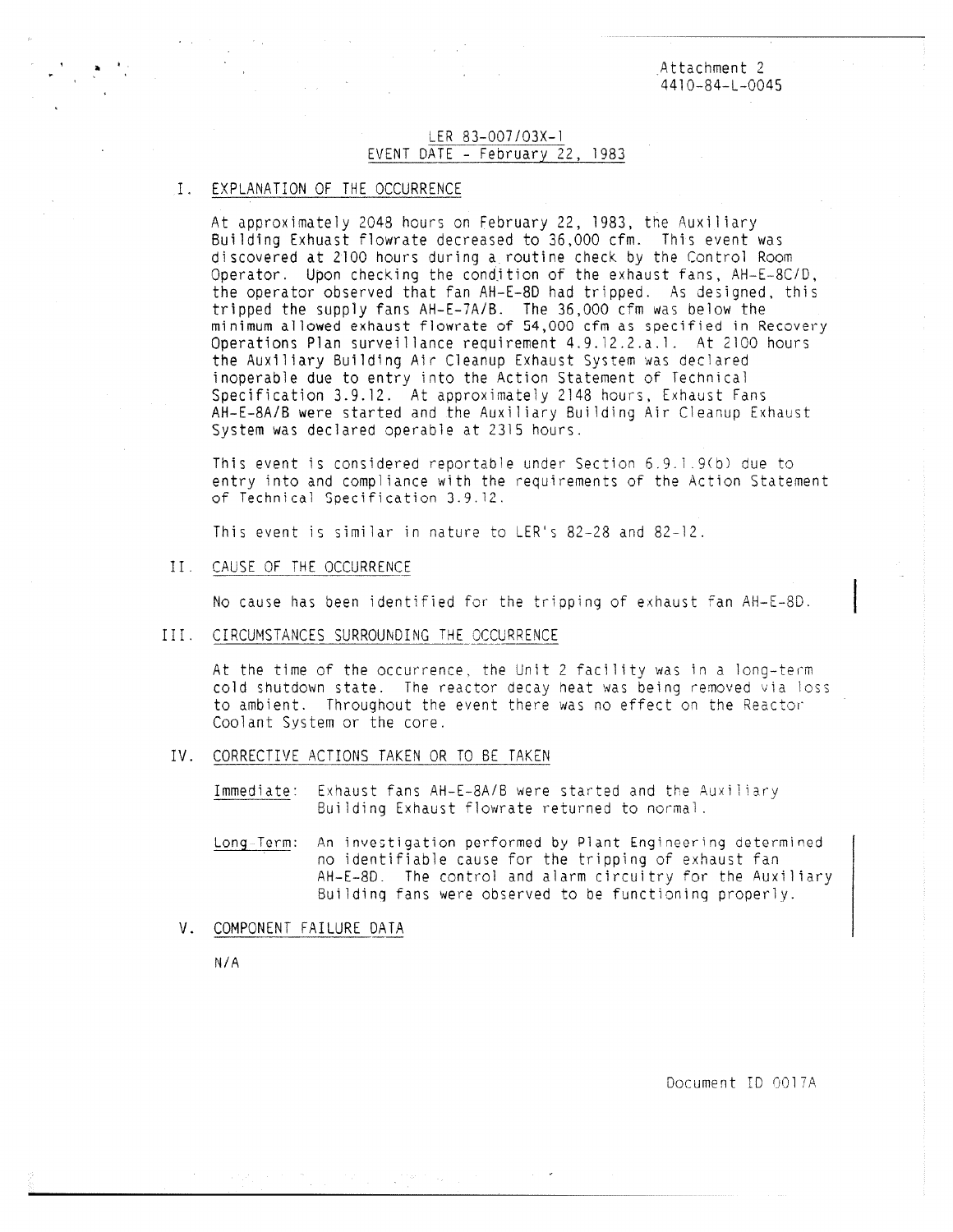Attachment 2 4410-84-L-0045

## LER 83-007/03X-1 EVENT DATE - February 22, 1983

## EXPLANATION OF THE OCCURRENCE

At approximately 2048 hours on February 22, 1983, the Auxiliary Building Exhuast flowrate decreased to 36,000 cfm. This event was discovered at 2100 hours during a routine check by the Control Room Operator. Upon checking the condition of the exhaust fans, AH-E-8C/D, the operator observed that fan AH-E-8D had tripped. As designed, this tripped the supply fans AH-E-7A/B. The 36,000 cfm was below the minimum allowed exhaust flowrate of 54,000 cfm as specified in Recovery Operations Plan surveillance requirement 4.9.12.2.a.1. At 2100 hours the Auxiliary Building Air Cleanup Exhaust System was declared inoperable due to entry into the Action Statement of Technical Specification 3.9.12. At approximately 2148 hours, Exhaust Fans AH-E-8A/B were started and the Auxiliary Building Air Cleanup Exhaust System was declared operable at 2315 hours.

This event is considered reportable under Section 6.9,1.9(b) due to entry into and compliance with the requirements of the Action Statement of Technical Specification 3.9.12.

This event is similar in nature to LER's 82-28 and 82-12.

II. CAUSE OF THE OCCURRENCE

No cause has been identified for the tripping of exhaust fan AH-E-8D.

III. CIRCUMSTANCES SURROUNDING THE OCCURRENCE

At the time of the occurrence. the Unit 2 facility was in a long-term cold shutdown state. The reactor decay neat was being removed via loss to ambient. Throughout the event there was no effect on the Reactor Coolant System or the core.

IV. CORRECTIVE ACTIONS TAKEN OR TO BE TAKEN

Immediate: Exhaust fans AH-E-8A/B were started and the Auxiliary Building Exhaust flowrate returned to normal.

- Long-Term: An investigation performed by Plant Engineering determined no identifiable cause for the tripping of exhaust fan AH-E-8D. The control and alarm circuitry for the Auxiliary Building fans were observed to be functioning properly.
- V. COMPONENT FAILURE DATA

N/A

Document ID 0017A.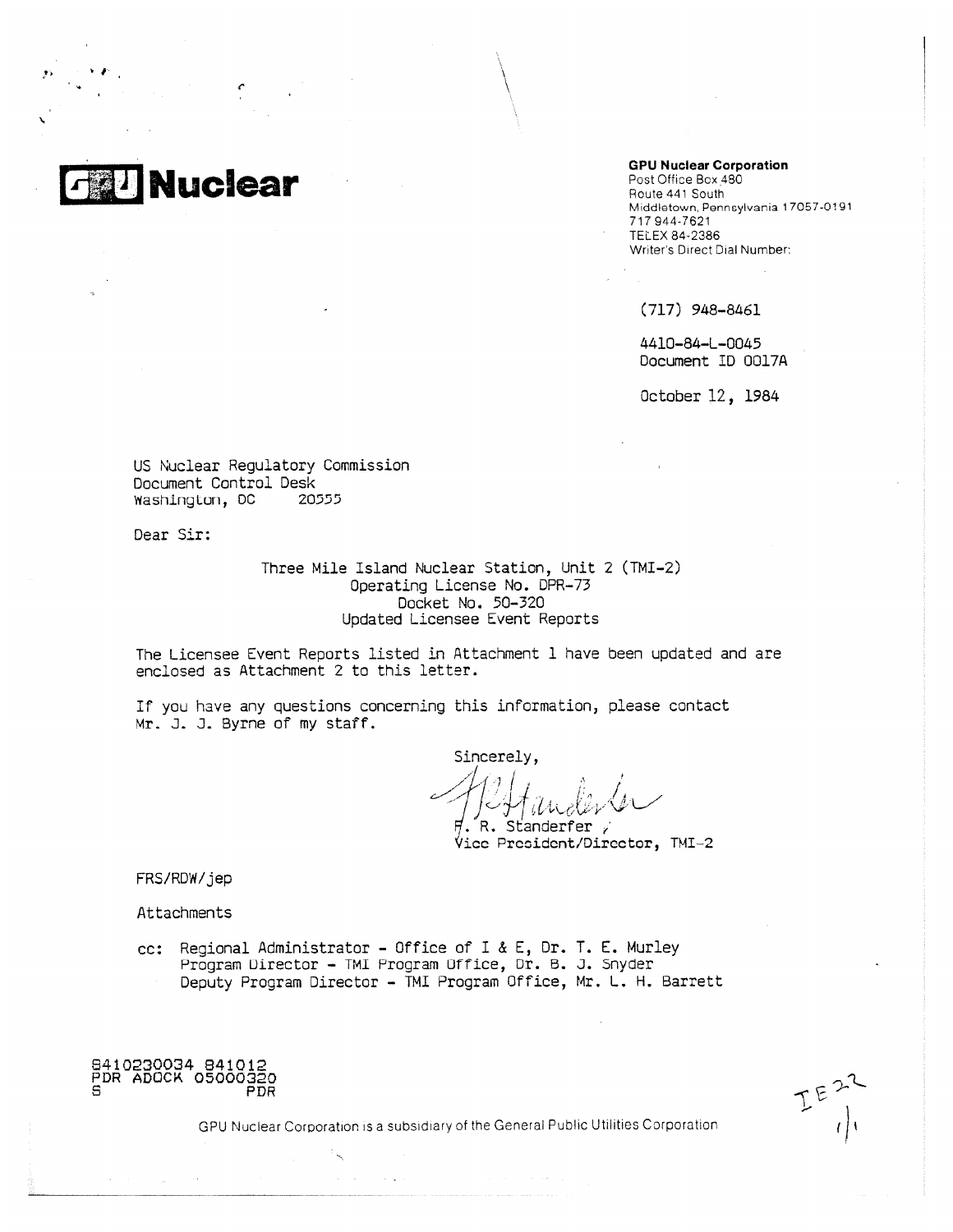

**GPU Nuclear Corporation**

Post Office Box 480 Route 441 South Middletown, Pennsylvania 17057-0191 717 944-7621 TELEX 84-2386 Writer's Direct Dial Number:

(717) 948-8461

4410-84-L-0045 Document ID 0017A

October 12, 1984

US Nuclear Regulatory Commission Document Control Desk Washimylom, DC 20555

Dear Sir:

Three Mile Island Nuclear Station, Unit 2 (TMI-2) Operating License No. DPR-73 Docket No. 50-320 Updated Licensee Event Reports

The Licensee Event Reports listed in Attachment 1 have been updated and are enclosed as Attachment 2 to this letter.

If you have any questions concerning this information, please contact Mr. J. J. Byrne of my staff.

Sincerely,  $\,$  R. Standerfer  $\,$  ,

Vice President/Director, TMI-2

FRS/RDW/jep

Attachments

cc: Regional Administrator - Office of I & E, Dr. T. E. Murley Program Director - TMI Program Office, Dr. B. J. Snyder Deputy Program Director - TMI Program Office, Mr. L. H. Barrett

8410230034 841012 PDR ADOCK 05000320 S PDR

 $E E$ <sup>22</sup>

GPU Nuclear Corporation is a subsidiary of the General Public Utilities Corporation

 $\Delta \sim 10^{11}$  and  $\Delta \sim 10^{11}$